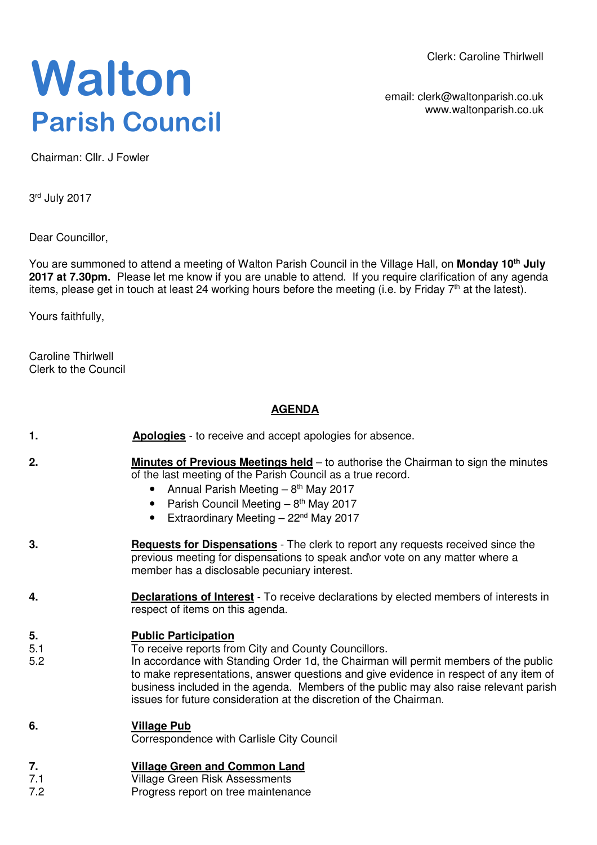Clerk: Caroline Thirlwell

# **Walton Parish Council**

email: clerk@waltonparish.co.uk www.waltonparish.co.uk

Chairman: Cllr. J Fowler

3<sup>rd</sup> July 2017

Dear Councillor,

You are summoned to attend a meeting of Walton Parish Council in the Village Hall, on **Monday 10th July 2017 at 7.30pm.** Please let me know if you are unable to attend. If you require clarification of any agenda items, please get in touch at least 24 working hours before the meeting (i.e. by Friday 7<sup>th</sup> at the latest).

Yours faithfully,

Caroline Thirlwell Clerk to the Council

### **AGENDA**

| 1.               | <b>Apologies</b> - to receive and accept apologies for absence.                                                                                                                                                                                                                                                                                                                                                                     |
|------------------|-------------------------------------------------------------------------------------------------------------------------------------------------------------------------------------------------------------------------------------------------------------------------------------------------------------------------------------------------------------------------------------------------------------------------------------|
| 2.               | <b>Minutes of Previous Meetings held</b> – to authorise the Chairman to sign the minutes<br>of the last meeting of the Parish Council as a true record.<br>Annual Parish Meeting - 8 <sup>th</sup> May 2017<br>$\bullet$<br>Parish Council Meeting - 8 <sup>th</sup> May 2017<br>$\bullet$<br>Extraordinary Meeting - 22 <sup>nd</sup> May 2017                                                                                     |
| 3.               | <b>Requests for Dispensations</b> - The clerk to report any requests received since the<br>previous meeting for dispensations to speak and\or vote on any matter where a<br>member has a disclosable pecuniary interest.                                                                                                                                                                                                            |
| 4.               | <b>Declarations of Interest</b> - To receive declarations by elected members of interests in<br>respect of items on this agenda.                                                                                                                                                                                                                                                                                                    |
| 5.<br>5.1<br>5.2 | <b>Public Participation</b><br>To receive reports from City and County Councillors.<br>In accordance with Standing Order 1d, the Chairman will permit members of the public<br>to make representations, answer questions and give evidence in respect of any item of<br>business included in the agenda. Members of the public may also raise relevant parish<br>issues for future consideration at the discretion of the Chairman. |
| 6.               | <b>Village Pub</b><br>Correspondence with Carlisle City Council                                                                                                                                                                                                                                                                                                                                                                     |
| 7.<br>7.1        | <b>Village Green and Common Land</b><br><b>Village Green Risk Assessments</b>                                                                                                                                                                                                                                                                                                                                                       |

7.2 Progress report on tree maintenance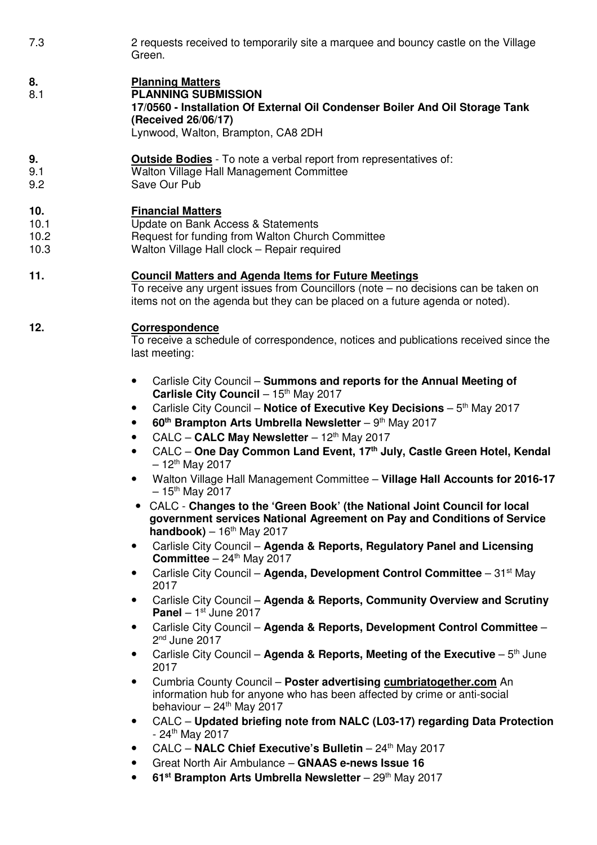7.3 2 requests received to temporarily site a marquee and bouncy castle on the Village Green.

## **8. Planning Matters**

8.1 **PLANNING SUBMISSION 17/0560 - Installation Of External Oil Condenser Boiler And Oil Storage Tank (Received 26/06/17)** Lynwood, Walton, Brampton, CA8 2DH

#### **9. Outside Bodies** - To note a verbal report from representatives of:

- 9.1 Walton Village Hall Management Committee
- 9.2 Save Our Pub

#### **10. Financial Matters**

- 10.1 Update on Bank Access & Statements
- 10.2 Request for funding from Walton Church Committee
- 10.3 Walton Village Hall clock Repair required

#### **11. Council Matters and Agenda Items for Future Meetings**

To receive any urgent issues from Councillors (note – no decisions can be taken on items not on the agenda but they can be placed on a future agenda or noted).

#### **12. Correspondence**

To receive a schedule of correspondence, notices and publications received since the last meeting:

- Carlisle City Council **Summons and reports for the Annual Meeting of**  Carlisle City Council – 15<sup>th</sup> May 2017
- Carlisle City Council **Notice of Executive Key Decisions** 5<sup>th</sup> May 2017
- **60th Brampton Arts Umbrella Newsletter** 9th May 2017
- CALC **CALC May Newsletter** 12th May 2017
- CALC **One Day Common Land Event, 17th July, Castle Green Hotel, Kendal**   $-12^{th}$  May 2017
- Walton Village Hall Management Committee **Village Hall Accounts for 2016-17**  $-15$ <sup>th</sup> May 2017
- CALC **Changes to the 'Green Book' (the National Joint Council for local government services National Agreement on Pay and Conditions of Service**   $handbook) - 16<sup>th</sup> May 2017$
- Carlisle City Council **Agenda & Reports, Regulatory Panel and Licensing Committee**  $-24$ <sup>th</sup> May 2017
- Carlisle City Council **Agenda, Development Control Committee** 31st May 2017
- Carlisle City Council **Agenda & Reports, Community Overview and Scrutiny Panel** – 1<sup>st</sup> June 2017
- Carlisle City Council **Agenda & Reports, Development Control Committee** 2<sup>nd</sup> June 2017
- Carlisle City Council Agenda & Reports, Meeting of the Executive 5<sup>th</sup> June 2017
- Cumbria County Council **Poster advertising cumbriatogether.com** An information hub for anyone who has been affected by crime or anti-social behaviour  $-24$ <sup>th</sup> May 2017
- CALC **Updated briefing note from NALC (L03-17) regarding Data Protection**  $- 24$ <sup>th</sup> May 2017
- CALC **NALC Chief Executive's Bulletin** 24th May 2017
- Great North Air Ambulance **GNAAS e-news Issue 16**
- **61st Brampton Arts Umbrella Newsletter** 29th May 2017